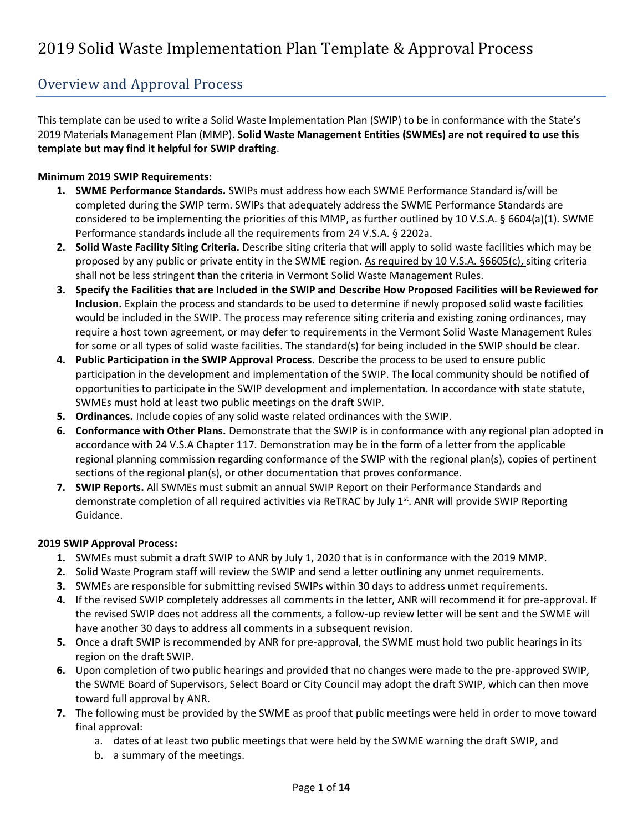#### Overview and Approval Process

This template can be used to write a Solid Waste Implementation Plan (SWIP) to be in conformance with the State's 2019 Materials Management Plan (MMP). **Solid Waste Management Entities (SWMEs) are not required to use this template but may find it helpful for SWIP drafting**.

#### **Minimum 2019 SWIP Requirements:**

- **1. SWME Performance Standards.** SWIPs must address how each SWME Performance Standard is/will be completed during the SWIP term. SWIPs that adequately address the SWME Performance Standards are considered to be implementing the priorities of this MMP, as further outlined by 10 V.S.A. § 6604(a)(1). SWME Performance standards include all the requirements from 24 V.S.A. § 2202a.
- **2. Solid Waste Facility Siting Criteria.** Describe siting criteria that will apply to solid waste facilities which may be proposed by any public or private entity in the SWME region. As required by 10 V.S.A. §6605(c), siting criteria shall not be less stringent than the criteria in Vermont Solid Waste Management Rules.
- **3. Specify the Facilities that are Included in the SWIP and Describe How Proposed Facilities will be Reviewed for Inclusion.** Explain the process and standards to be used to determine if newly proposed solid waste facilities would be included in the SWIP. The process may reference siting criteria and existing zoning ordinances, may require a host town agreement, or may defer to requirements in the Vermont Solid Waste Management Rules for some or all types of solid waste facilities. The standard(s) for being included in the SWIP should be clear.
- **4. Public Participation in the SWIP Approval Process.** Describe the process to be used to ensure public participation in the development and implementation of the SWIP. The local community should be notified of opportunities to participate in the SWIP development and implementation. In accordance with state statute, SWMEs must hold at least two public meetings on the draft SWIP.
- **5. Ordinances.** Include copies of any solid waste related ordinances with the SWIP.
- **6. Conformance with Other Plans.** Demonstrate that the SWIP is in conformance with any regional plan adopted in accordance with 24 V.S.A Chapter 117. Demonstration may be in the form of a letter from the applicable regional planning commission regarding conformance of the SWIP with the regional plan(s), copies of pertinent sections of the regional plan(s), or other documentation that proves conformance.
- **7. SWIP Reports.** All SWMEs must submit an annual SWIP Report on their Performance Standards and demonstrate completion of all required activities via ReTRAC by July 1<sup>st</sup>. ANR will provide SWIP Reporting Guidance.

#### **2019 SWIP Approval Process:**

- **1.** SWMEs must submit a draft SWIP to ANR by July 1, 2020 that is in conformance with the 2019 MMP.
- **2.** Solid Waste Program staff will review the SWIP and send a letter outlining any unmet requirements.
- **3.** SWMEs are responsible for submitting revised SWIPs within 30 days to address unmet requirements.
- **4.** If the revised SWIP completely addresses all comments in the letter, ANR will recommend it for pre-approval. If the revised SWIP does not address all the comments, a follow-up review letter will be sent and the SWME will have another 30 days to address all comments in a subsequent revision.
- **5.** Once a draft SWIP is recommended by ANR for pre-approval, the SWME must hold two public hearings in its region on the draft SWIP.
- **6.** Upon completion of two public hearings and provided that no changes were made to the pre-approved SWIP, the SWME Board of Supervisors, Select Board or City Council may adopt the draft SWIP, which can then move toward full approval by ANR.
- **7.** The following must be provided by the SWME as proof that public meetings were held in order to move toward final approval:
	- a. dates of at least two public meetings that were held by the SWME warning the draft SWIP, and
	- b. a summary of the meetings.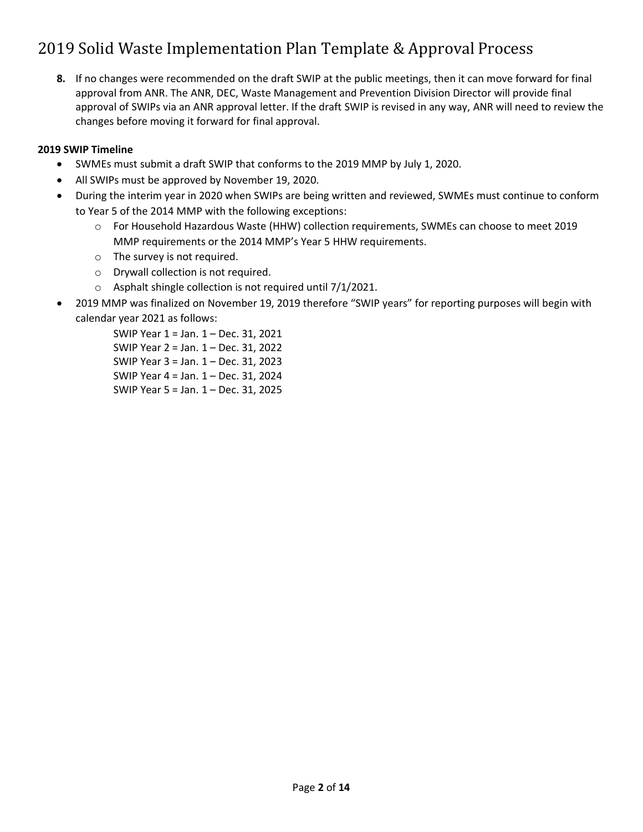**8.** If no changes were recommended on the draft SWIP at the public meetings, then it can move forward for final approval from ANR. The ANR, DEC, Waste Management and Prevention Division Director will provide final approval of SWIPs via an ANR approval letter. If the draft SWIP is revised in any way, ANR will need to review the changes before moving it forward for final approval.

#### **2019 SWIP Timeline**

- SWMEs must submit a draft SWIP that conforms to the 2019 MMP by July 1, 2020.
- All SWIPs must be approved by November 19, 2020.
- During the interim year in 2020 when SWIPs are being written and reviewed, SWMEs must continue to conform to Year 5 of the 2014 MMP with the following exceptions:
	- o For Household Hazardous Waste (HHW) collection requirements, SWMEs can choose to meet 2019 MMP requirements or the 2014 MMP's Year 5 HHW requirements.
	- o The survey is not required.
	- o Drywall collection is not required.
	- o Asphalt shingle collection is not required until 7/1/2021.
- 2019 MMP was finalized on November 19, 2019 therefore "SWIP years" for reporting purposes will begin with calendar year 2021 as follows:

SWIP Year 1 = Jan. 1 – Dec. 31, 2021 SWIP Year 2 = Jan. 1 – Dec. 31, 2022 SWIP Year 3 = Jan. 1 – Dec. 31, 2023 SWIP Year 4 = Jan. 1 – Dec. 31, 2024 SWIP Year 5 = Jan. 1 – Dec. 31, 2025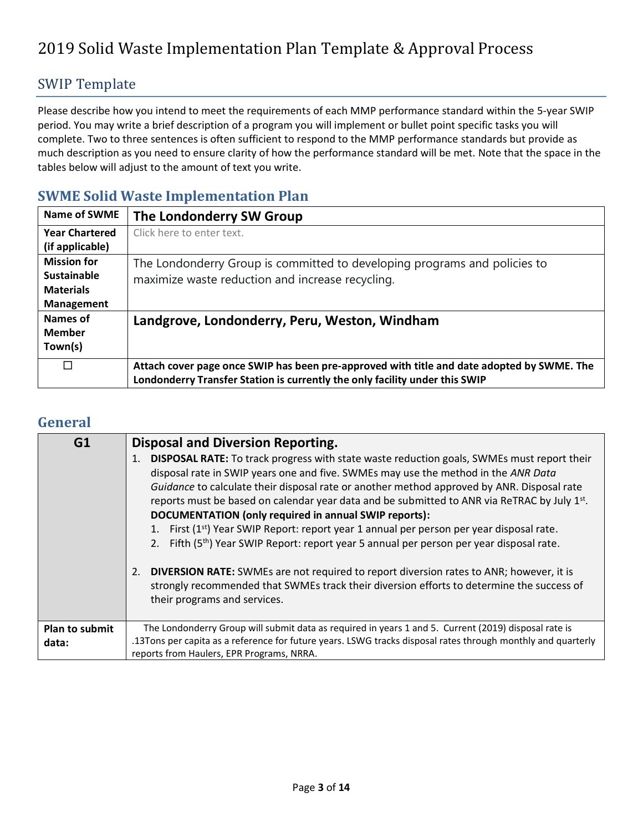#### SWIP Template

Please describe how you intend to meet the requirements of each MMP performance standard within the 5-year SWIP period. You may write a brief description of a program you will implement or bullet point specific tasks you will complete. Two to three sentences is often sufficient to respond to the MMP performance standards but provide as much description as you need to ensure clarity of how the performance standard will be met. Note that the space in the tables below will adjust to the amount of text you write.

#### **SWME Solid Waste Implementation Plan**

| Name of SWME          | The Londonderry SW Group                                                                   |
|-----------------------|--------------------------------------------------------------------------------------------|
| <b>Year Chartered</b> | Click here to enter text.                                                                  |
| (if applicable)       |                                                                                            |
| <b>Mission for</b>    | The Londonderry Group is committed to developing programs and policies to                  |
| <b>Sustainable</b>    | maximize waste reduction and increase recycling.                                           |
| <b>Materials</b>      |                                                                                            |
| <b>Management</b>     |                                                                                            |
| Names of              | Landgrove, Londonderry, Peru, Weston, Windham                                              |
| <b>Member</b>         |                                                                                            |
| Town(s)               |                                                                                            |
| П                     | Attach cover page once SWIP has been pre-approved with title and date adopted by SWME. The |
|                       | Londonderry Transfer Station is currently the only facility under this SWIP                |

#### **General**

| G1                             | <b>Disposal and Diversion Reporting.</b><br>DISPOSAL RATE: To track progress with state waste reduction goals, SWMEs must report their<br>disposal rate in SWIP years one and five. SWMEs may use the method in the ANR Data<br>Guidance to calculate their disposal rate or another method approved by ANR. Disposal rate<br>reports must be based on calendar year data and be submitted to ANR via ReTRAC by July 1st.<br>DOCUMENTATION (only required in annual SWIP reports):<br>1. First (1 <sup>st</sup> ) Year SWIP Report: report year 1 annual per person per year disposal rate.<br>2. Fifth (5 <sup>th</sup> ) Year SWIP Report: report year 5 annual per person per year disposal rate.<br>2. DIVERSION RATE: SWMEs are not required to report diversion rates to ANR; however, it is<br>strongly recommended that SWMEs track their diversion efforts to determine the success of<br>their programs and services. |
|--------------------------------|---------------------------------------------------------------------------------------------------------------------------------------------------------------------------------------------------------------------------------------------------------------------------------------------------------------------------------------------------------------------------------------------------------------------------------------------------------------------------------------------------------------------------------------------------------------------------------------------------------------------------------------------------------------------------------------------------------------------------------------------------------------------------------------------------------------------------------------------------------------------------------------------------------------------------------|
| <b>Plan to submit</b><br>data: | The Londonderry Group will submit data as required in years 1 and 5. Current (2019) disposal rate is<br>.13Tons per capita as a reference for future years. LSWG tracks disposal rates through monthly and quarterly<br>reports from Haulers, EPR Programs, NRRA.                                                                                                                                                                                                                                                                                                                                                                                                                                                                                                                                                                                                                                                               |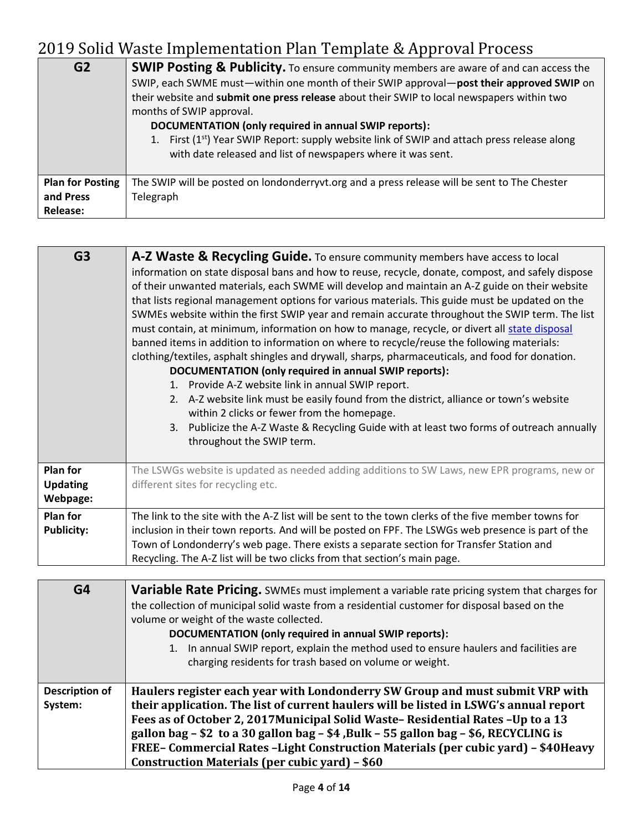| G <sub>2</sub>                                          | <b>SWIP Posting &amp; Publicity.</b> To ensure community members are aware of and can access the<br>SWIP, each SWME must—within one month of their SWIP approval—post their approved SWIP on<br>their website and submit one press release about their SWIP to local newspapers within two<br>months of SWIP approval.<br>DOCUMENTATION (only required in annual SWIP reports):<br>1. First (1 <sup>st</sup> ) Year SWIP Report: supply website link of SWIP and attach press release along<br>with date released and list of newspapers where it was sent. |
|---------------------------------------------------------|-------------------------------------------------------------------------------------------------------------------------------------------------------------------------------------------------------------------------------------------------------------------------------------------------------------------------------------------------------------------------------------------------------------------------------------------------------------------------------------------------------------------------------------------------------------|
| <b>Plan for Posting</b><br>and Press<br><b>Release:</b> | The SWIP will be posted on londonderryvt.org and a press release will be sent to The Chester<br>Telegraph                                                                                                                                                                                                                                                                                                                                                                                                                                                   |

| G <sub>3</sub>                                 | A-Z Waste & Recycling Guide. To ensure community members have access to local<br>information on state disposal bans and how to reuse, recycle, donate, compost, and safely dispose<br>of their unwanted materials, each SWME will develop and maintain an A-Z guide on their website<br>that lists regional management options for various materials. This guide must be updated on the<br>SWMEs website within the first SWIP year and remain accurate throughout the SWIP term. The list<br>must contain, at minimum, information on how to manage, recycle, or divert all state disposal<br>banned items in addition to information on where to recycle/reuse the following materials:<br>clothing/textiles, asphalt shingles and drywall, sharps, pharmaceuticals, and food for donation.<br>DOCUMENTATION (only required in annual SWIP reports):<br>1. Provide A-Z website link in annual SWIP report.<br>2. A-Z website link must be easily found from the district, alliance or town's website<br>within 2 clicks or fewer from the homepage.<br>3. Publicize the A-Z Waste & Recycling Guide with at least two forms of outreach annually<br>throughout the SWIP term. |
|------------------------------------------------|---------------------------------------------------------------------------------------------------------------------------------------------------------------------------------------------------------------------------------------------------------------------------------------------------------------------------------------------------------------------------------------------------------------------------------------------------------------------------------------------------------------------------------------------------------------------------------------------------------------------------------------------------------------------------------------------------------------------------------------------------------------------------------------------------------------------------------------------------------------------------------------------------------------------------------------------------------------------------------------------------------------------------------------------------------------------------------------------------------------------------------------------------------------------------------|
| <b>Plan for</b><br><b>Updating</b><br>Webpage: | The LSWGs website is updated as needed adding additions to SW Laws, new EPR programs, new or<br>different sites for recycling etc.                                                                                                                                                                                                                                                                                                                                                                                                                                                                                                                                                                                                                                                                                                                                                                                                                                                                                                                                                                                                                                              |
| <b>Plan for</b><br><b>Publicity:</b>           | The link to the site with the A-Z list will be sent to the town clerks of the five member towns for<br>inclusion in their town reports. And will be posted on FPF. The LSWGs web presence is part of the<br>Town of Londonderry's web page. There exists a separate section for Transfer Station and<br>Recycling. The A-Z list will be two clicks from that section's main page.                                                                                                                                                                                                                                                                                                                                                                                                                                                                                                                                                                                                                                                                                                                                                                                               |

| G4                               | <b>Variable Rate Pricing.</b> SWMEs must implement a variable rate pricing system that charges for<br>the collection of municipal solid waste from a residential customer for disposal based on the<br>volume or weight of the waste collected.<br>DOCUMENTATION (only required in annual SWIP reports):<br>1. In annual SWIP report, explain the method used to ensure haulers and facilities are<br>charging residents for trash based on volume or weight.                         |
|----------------------------------|---------------------------------------------------------------------------------------------------------------------------------------------------------------------------------------------------------------------------------------------------------------------------------------------------------------------------------------------------------------------------------------------------------------------------------------------------------------------------------------|
| <b>Description of</b><br>System: | Haulers register each year with Londonderry SW Group and must submit VRP with<br>their application. The list of current haulers will be listed in LSWG's annual report<br>Fees as of October 2, 2017 Municipal Solid Waste-Residential Rates - Up to a 13<br>gallon bag - \$2 to a 30 gallon bag - \$4, Bulk - 55 gallon bag - \$6, RECYCLING is<br>FREE-Commercial Rates-Light Construction Materials (per cubic yard) - \$40Heavy<br>Construction Materials (per cubic yard) - \$60 |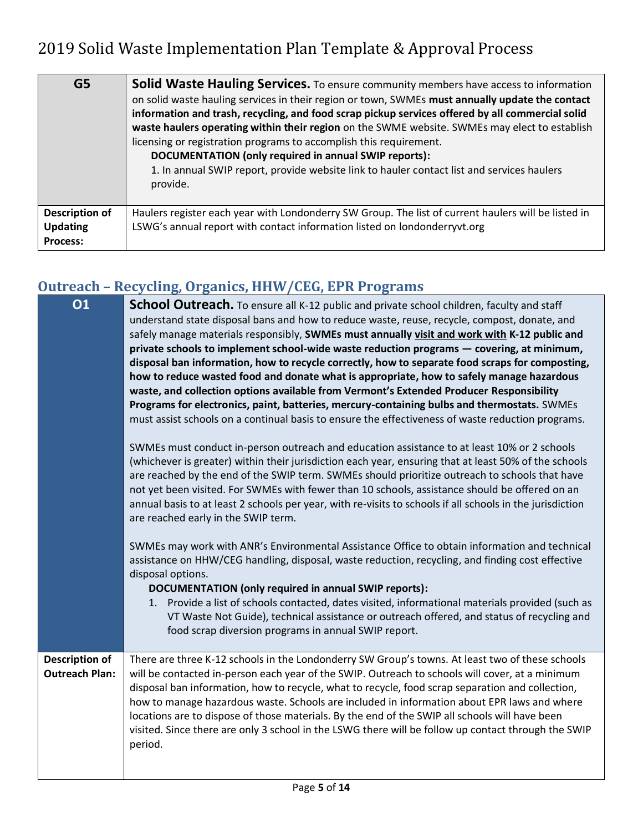| G <sub>5</sub>                                              | <b>Solid Waste Hauling Services.</b> To ensure community members have access to information<br>on solid waste hauling services in their region or town, SWMEs must annually update the contact<br>information and trash, recycling, and food scrap pickup services offered by all commercial solid<br>waste haulers operating within their region on the SWME website. SWMEs may elect to establish<br>licensing or registration programs to accomplish this requirement.<br>DOCUMENTATION (only required in annual SWIP reports):<br>1. In annual SWIP report, provide website link to hauler contact list and services haulers<br>provide. |
|-------------------------------------------------------------|----------------------------------------------------------------------------------------------------------------------------------------------------------------------------------------------------------------------------------------------------------------------------------------------------------------------------------------------------------------------------------------------------------------------------------------------------------------------------------------------------------------------------------------------------------------------------------------------------------------------------------------------|
| <b>Description of</b><br><b>Updating</b><br><b>Process:</b> | Haulers register each year with Londonderry SW Group. The list of current haulers will be listed in<br>LSWG's annual report with contact information listed on londonderryvt.org                                                                                                                                                                                                                                                                                                                                                                                                                                                             |

## **Outreach – Recycling, Organics, HHW/CEG, EPR Programs**

| <b>01</b>                                      | <b>School Outreach.</b> To ensure all K-12 public and private school children, faculty and staff<br>understand state disposal bans and how to reduce waste, reuse, recycle, compost, donate, and<br>safely manage materials responsibly, SWMEs must annually visit and work with K-12 public and<br>private schools to implement school-wide waste reduction programs - covering, at minimum,<br>disposal ban information, how to recycle correctly, how to separate food scraps for composting,<br>how to reduce wasted food and donate what is appropriate, how to safely manage hazardous<br>waste, and collection options available from Vermont's Extended Producer Responsibility<br>Programs for electronics, paint, batteries, mercury-containing bulbs and thermostats. SWMEs<br>must assist schools on a continual basis to ensure the effectiveness of waste reduction programs.<br>SWMEs must conduct in-person outreach and education assistance to at least 10% or 2 schools<br>(whichever is greater) within their jurisdiction each year, ensuring that at least 50% of the schools<br>are reached by the end of the SWIP term. SWMEs should prioritize outreach to schools that have |
|------------------------------------------------|-------------------------------------------------------------------------------------------------------------------------------------------------------------------------------------------------------------------------------------------------------------------------------------------------------------------------------------------------------------------------------------------------------------------------------------------------------------------------------------------------------------------------------------------------------------------------------------------------------------------------------------------------------------------------------------------------------------------------------------------------------------------------------------------------------------------------------------------------------------------------------------------------------------------------------------------------------------------------------------------------------------------------------------------------------------------------------------------------------------------------------------------------------------------------------------------------------|
|                                                | not yet been visited. For SWMEs with fewer than 10 schools, assistance should be offered on an<br>annual basis to at least 2 schools per year, with re-visits to schools if all schools in the jurisdiction<br>are reached early in the SWIP term.                                                                                                                                                                                                                                                                                                                                                                                                                                                                                                                                                                                                                                                                                                                                                                                                                                                                                                                                                    |
|                                                | SWMEs may work with ANR's Environmental Assistance Office to obtain information and technical<br>assistance on HHW/CEG handling, disposal, waste reduction, recycling, and finding cost effective<br>disposal options.<br>DOCUMENTATION (only required in annual SWIP reports):                                                                                                                                                                                                                                                                                                                                                                                                                                                                                                                                                                                                                                                                                                                                                                                                                                                                                                                       |
|                                                | 1. Provide a list of schools contacted, dates visited, informational materials provided (such as<br>VT Waste Not Guide), technical assistance or outreach offered, and status of recycling and<br>food scrap diversion programs in annual SWIP report.                                                                                                                                                                                                                                                                                                                                                                                                                                                                                                                                                                                                                                                                                                                                                                                                                                                                                                                                                |
| <b>Description of</b><br><b>Outreach Plan:</b> | There are three K-12 schools in the Londonderry SW Group's towns. At least two of these schools<br>will be contacted in-person each year of the SWIP. Outreach to schools will cover, at a minimum<br>disposal ban information, how to recycle, what to recycle, food scrap separation and collection,<br>how to manage hazardous waste. Schools are included in information about EPR laws and where<br>locations are to dispose of those materials. By the end of the SWIP all schools will have been<br>visited. Since there are only 3 school in the LSWG there will be follow up contact through the SWIP<br>period.                                                                                                                                                                                                                                                                                                                                                                                                                                                                                                                                                                             |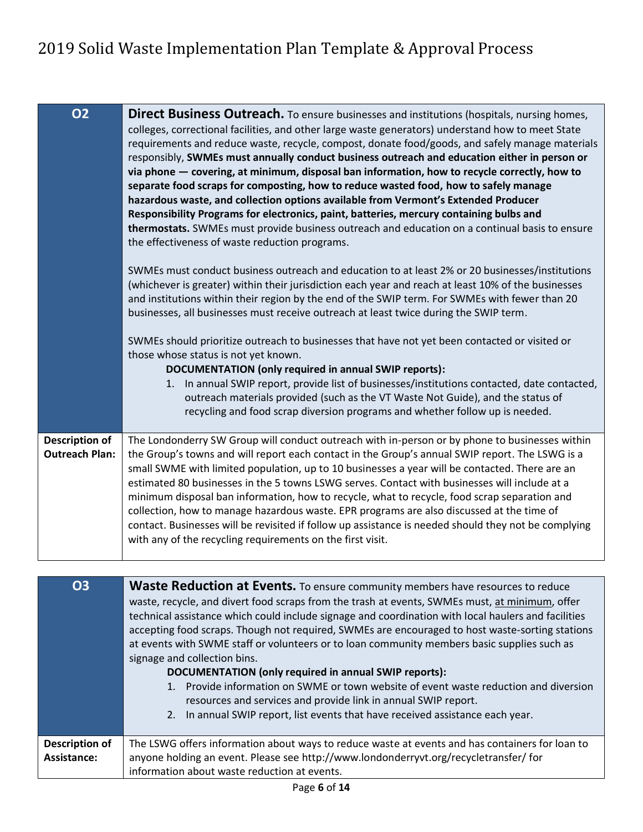| <b>O2</b>                                      | Direct Business Outreach. To ensure businesses and institutions (hospitals, nursing homes,<br>colleges, correctional facilities, and other large waste generators) understand how to meet State<br>requirements and reduce waste, recycle, compost, donate food/goods, and safely manage materials<br>responsibly, SWMEs must annually conduct business outreach and education either in person or<br>via phone - covering, at minimum, disposal ban information, how to recycle correctly, how to<br>separate food scraps for composting, how to reduce wasted food, how to safely manage<br>hazardous waste, and collection options available from Vermont's Extended Producer<br>Responsibility Programs for electronics, paint, batteries, mercury containing bulbs and<br>thermostats. SWMEs must provide business outreach and education on a continual basis to ensure<br>the effectiveness of waste reduction programs.<br>SWMEs must conduct business outreach and education to at least 2% or 20 businesses/institutions<br>(whichever is greater) within their jurisdiction each year and reach at least 10% of the businesses<br>and institutions within their region by the end of the SWIP term. For SWMEs with fewer than 20<br>businesses, all businesses must receive outreach at least twice during the SWIP term.<br>SWMEs should prioritize outreach to businesses that have not yet been contacted or visited or<br>those whose status is not yet known.<br>DOCUMENTATION (only required in annual SWIP reports):<br>1. In annual SWIP report, provide list of businesses/institutions contacted, date contacted,<br>outreach materials provided (such as the VT Waste Not Guide), and the status of<br>recycling and food scrap diversion programs and whether follow up is needed. |
|------------------------------------------------|-----------------------------------------------------------------------------------------------------------------------------------------------------------------------------------------------------------------------------------------------------------------------------------------------------------------------------------------------------------------------------------------------------------------------------------------------------------------------------------------------------------------------------------------------------------------------------------------------------------------------------------------------------------------------------------------------------------------------------------------------------------------------------------------------------------------------------------------------------------------------------------------------------------------------------------------------------------------------------------------------------------------------------------------------------------------------------------------------------------------------------------------------------------------------------------------------------------------------------------------------------------------------------------------------------------------------------------------------------------------------------------------------------------------------------------------------------------------------------------------------------------------------------------------------------------------------------------------------------------------------------------------------------------------------------------------------------------------------------------------------------------------------------------------------------------|
| <b>Description of</b><br><b>Outreach Plan:</b> | The Londonderry SW Group will conduct outreach with in-person or by phone to businesses within<br>the Group's towns and will report each contact in the Group's annual SWIP report. The LSWG is a<br>small SWME with limited population, up to 10 businesses a year will be contacted. There are an<br>estimated 80 businesses in the 5 towns LSWG serves. Contact with businesses will include at a<br>minimum disposal ban information, how to recycle, what to recycle, food scrap separation and<br>collection, how to manage hazardous waste. EPR programs are also discussed at the time of<br>contact. Businesses will be revisited if follow up assistance is needed should they not be complying<br>with any of the recycling requirements on the first visit.                                                                                                                                                                                                                                                                                                                                                                                                                                                                                                                                                                                                                                                                                                                                                                                                                                                                                                                                                                                                                                   |
|                                                |                                                                                                                                                                                                                                                                                                                                                                                                                                                                                                                                                                                                                                                                                                                                                                                                                                                                                                                                                                                                                                                                                                                                                                                                                                                                                                                                                                                                                                                                                                                                                                                                                                                                                                                                                                                                           |
| 03                                             | Waste Reduction at Events. To ensure community members have resources to reduce<br>waste, recycle, and divert food scraps from the trash at events, SWMEs must, at minimum, offer<br>technical assistance which could include signage and coordination with local haulers and facilities<br>accepting food scraps. Though not required, SWMEs are encouraged to host waste-sorting stations<br>at events with SWME staff or volunteers or to loan community members basic supplies such as<br>signage and collection bins.<br>DOCUMENTATION (only required in annual SWIP reports):<br>1. Provide information on SWME or town website of event waste reduction and diversion<br>resources and services and provide link in annual SWIP report.                                                                                                                                                                                                                                                                                                                                                                                                                                                                                                                                                                                                                                                                                                                                                                                                                                                                                                                                                                                                                                                            |

2. In annual SWIP report, list events that have received assistance each year.

**Description of Assistance:** The LSWG offers information about ways to reduce waste at events and has containers for loan to anyone holding an event. Please see http://www.londonderryvt.org/recycletransfer/ for information about waste reduction at events.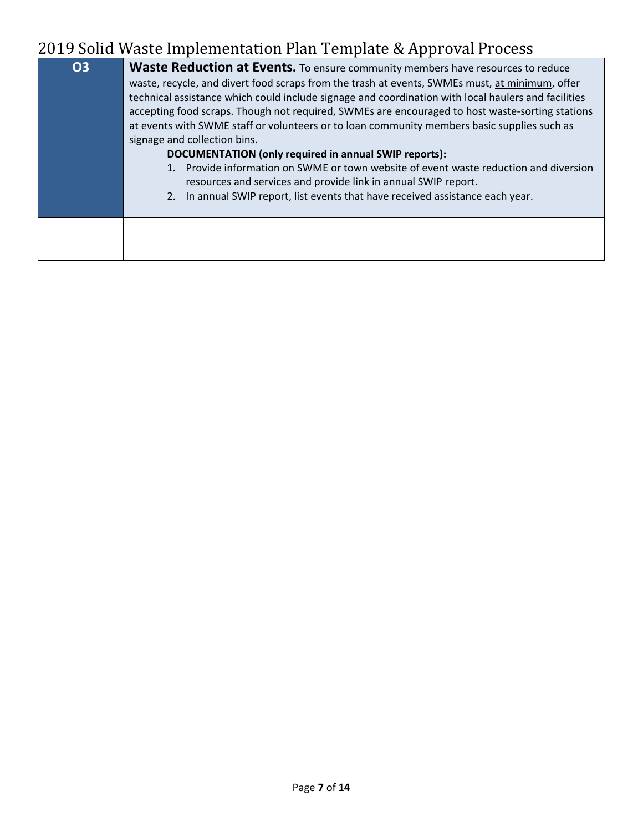| <b>O3</b> | <b>Waste Reduction at Events.</b> To ensure community members have resources to reduce<br>waste, recycle, and divert food scraps from the trash at events, SWMEs must, at minimum, offer<br>technical assistance which could include signage and coordination with local haulers and facilities<br>accepting food scraps. Though not required, SWMEs are encouraged to host waste-sorting stations<br>at events with SWME staff or volunteers or to loan community members basic supplies such as<br>signage and collection bins.<br>DOCUMENTATION (only required in annual SWIP reports):<br>1. Provide information on SWME or town website of event waste reduction and diversion<br>resources and services and provide link in annual SWIP report.<br>2. In annual SWIP report, list events that have received assistance each year. |
|-----------|-----------------------------------------------------------------------------------------------------------------------------------------------------------------------------------------------------------------------------------------------------------------------------------------------------------------------------------------------------------------------------------------------------------------------------------------------------------------------------------------------------------------------------------------------------------------------------------------------------------------------------------------------------------------------------------------------------------------------------------------------------------------------------------------------------------------------------------------|
|           |                                                                                                                                                                                                                                                                                                                                                                                                                                                                                                                                                                                                                                                                                                                                                                                                                                         |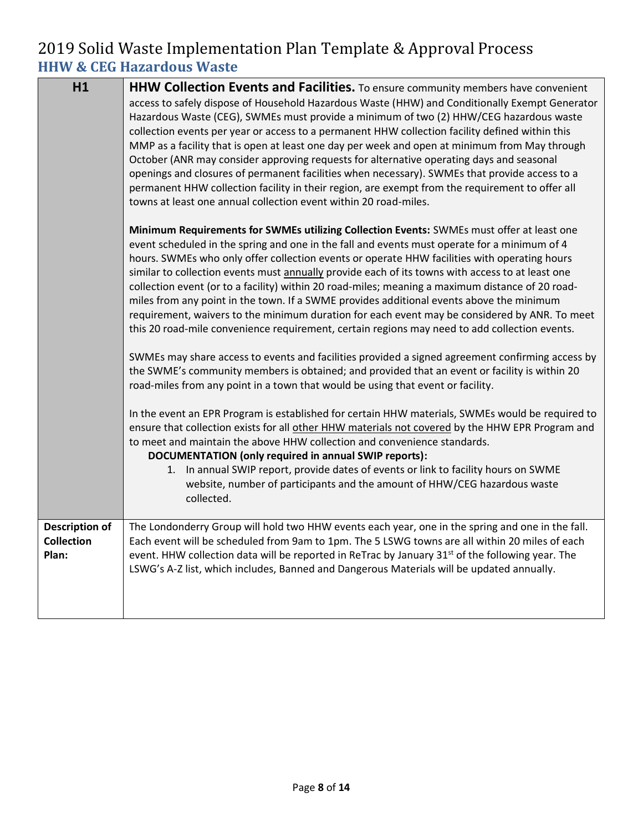### 2019 Solid Waste Implementation Plan Template & Approval Process **HHW & CEG Hazardous Waste**

| H1                                                  | HHW Collection Events and Facilities. To ensure community members have convenient<br>access to safely dispose of Household Hazardous Waste (HHW) and Conditionally Exempt Generator<br>Hazardous Waste (CEG), SWMEs must provide a minimum of two (2) HHW/CEG hazardous waste<br>collection events per year or access to a permanent HHW collection facility defined within this<br>MMP as a facility that is open at least one day per week and open at minimum from May through<br>October (ANR may consider approving requests for alternative operating days and seasonal<br>openings and closures of permanent facilities when necessary). SWMEs that provide access to a<br>permanent HHW collection facility in their region, are exempt from the requirement to offer all<br>towns at least one annual collection event within 20 road-miles. |
|-----------------------------------------------------|-------------------------------------------------------------------------------------------------------------------------------------------------------------------------------------------------------------------------------------------------------------------------------------------------------------------------------------------------------------------------------------------------------------------------------------------------------------------------------------------------------------------------------------------------------------------------------------------------------------------------------------------------------------------------------------------------------------------------------------------------------------------------------------------------------------------------------------------------------|
|                                                     | Minimum Requirements for SWMEs utilizing Collection Events: SWMEs must offer at least one<br>event scheduled in the spring and one in the fall and events must operate for a minimum of 4<br>hours. SWMEs who only offer collection events or operate HHW facilities with operating hours<br>similar to collection events must annually provide each of its towns with access to at least one<br>collection event (or to a facility) within 20 road-miles; meaning a maximum distance of 20 road-<br>miles from any point in the town. If a SWME provides additional events above the minimum<br>requirement, waivers to the minimum duration for each event may be considered by ANR. To meet<br>this 20 road-mile convenience requirement, certain regions may need to add collection events.                                                       |
|                                                     | SWMEs may share access to events and facilities provided a signed agreement confirming access by<br>the SWME's community members is obtained; and provided that an event or facility is within 20<br>road-miles from any point in a town that would be using that event or facility.                                                                                                                                                                                                                                                                                                                                                                                                                                                                                                                                                                  |
|                                                     | In the event an EPR Program is established for certain HHW materials, SWMEs would be required to<br>ensure that collection exists for all other HHW materials not covered by the HHW EPR Program and<br>to meet and maintain the above HHW collection and convenience standards.<br>DOCUMENTATION (only required in annual SWIP reports):<br>1. In annual SWIP report, provide dates of events or link to facility hours on SWME<br>website, number of participants and the amount of HHW/CEG hazardous waste<br>collected.                                                                                                                                                                                                                                                                                                                           |
| <b>Description of</b><br><b>Collection</b><br>Plan: | The Londonderry Group will hold two HHW events each year, one in the spring and one in the fall.<br>Each event will be scheduled from 9am to 1pm. The 5 LSWG towns are all within 20 miles of each<br>event. HHW collection data will be reported in ReTrac by January 31 <sup>st</sup> of the following year. The<br>LSWG's A-Z list, which includes, Banned and Dangerous Materials will be updated annually.                                                                                                                                                                                                                                                                                                                                                                                                                                       |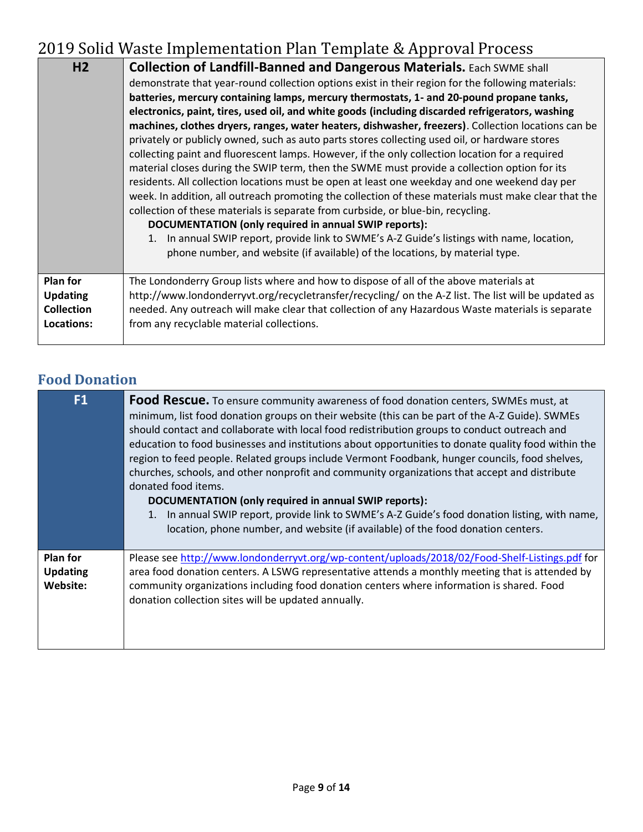| H <sub>2</sub>    | <b>Collection of Landfill-Banned and Dangerous Materials.</b> Each SWME shall<br>demonstrate that year-round collection options exist in their region for the following materials:<br>batteries, mercury containing lamps, mercury thermostats, 1- and 20-pound propane tanks,<br>electronics, paint, tires, used oil, and white goods (including discarded refrigerators, washing<br>machines, clothes dryers, ranges, water heaters, dishwasher, freezers). Collection locations can be<br>privately or publicly owned, such as auto parts stores collecting used oil, or hardware stores<br>collecting paint and fluorescent lamps. However, if the only collection location for a required<br>material closes during the SWIP term, then the SWME must provide a collection option for its<br>residents. All collection locations must be open at least one weekday and one weekend day per<br>week. In addition, all outreach promoting the collection of these materials must make clear that the<br>collection of these materials is separate from curbside, or blue-bin, recycling.<br>DOCUMENTATION (only required in annual SWIP reports):<br>1. In annual SWIP report, provide link to SWME's A-Z Guide's listings with name, location,<br>phone number, and website (if available) of the locations, by material type. |
|-------------------|------------------------------------------------------------------------------------------------------------------------------------------------------------------------------------------------------------------------------------------------------------------------------------------------------------------------------------------------------------------------------------------------------------------------------------------------------------------------------------------------------------------------------------------------------------------------------------------------------------------------------------------------------------------------------------------------------------------------------------------------------------------------------------------------------------------------------------------------------------------------------------------------------------------------------------------------------------------------------------------------------------------------------------------------------------------------------------------------------------------------------------------------------------------------------------------------------------------------------------------------------------------------------------------------------------------------------------|
| <b>Plan for</b>   | The Londonderry Group lists where and how to dispose of all of the above materials at                                                                                                                                                                                                                                                                                                                                                                                                                                                                                                                                                                                                                                                                                                                                                                                                                                                                                                                                                                                                                                                                                                                                                                                                                                              |
| <b>Updating</b>   | http://www.londonderryvt.org/recycletransfer/recycling/ on the A-Z list. The list will be updated as                                                                                                                                                                                                                                                                                                                                                                                                                                                                                                                                                                                                                                                                                                                                                                                                                                                                                                                                                                                                                                                                                                                                                                                                                               |
| <b>Collection</b> | needed. Any outreach will make clear that collection of any Hazardous Waste materials is separate                                                                                                                                                                                                                                                                                                                                                                                                                                                                                                                                                                                                                                                                                                                                                                                                                                                                                                                                                                                                                                                                                                                                                                                                                                  |
| Locations:        | from any recyclable material collections.                                                                                                                                                                                                                                                                                                                                                                                                                                                                                                                                                                                                                                                                                                                                                                                                                                                                                                                                                                                                                                                                                                                                                                                                                                                                                          |

## **Food Donation**

| F <sub>1</sub>                                 | Food Rescue. To ensure community awareness of food donation centers, SWMEs must, at<br>minimum, list food donation groups on their website (this can be part of the A-Z Guide). SWMEs<br>should contact and collaborate with local food redistribution groups to conduct outreach and<br>education to food businesses and institutions about opportunities to donate quality food within the<br>region to feed people. Related groups include Vermont Foodbank, hunger councils, food shelves,<br>churches, schools, and other nonprofit and community organizations that accept and distribute<br>donated food items.<br>DOCUMENTATION (only required in annual SWIP reports):<br>1. In annual SWIP report, provide link to SWME's A-Z Guide's food donation listing, with name,<br>location, phone number, and website (if available) of the food donation centers. |
|------------------------------------------------|-----------------------------------------------------------------------------------------------------------------------------------------------------------------------------------------------------------------------------------------------------------------------------------------------------------------------------------------------------------------------------------------------------------------------------------------------------------------------------------------------------------------------------------------------------------------------------------------------------------------------------------------------------------------------------------------------------------------------------------------------------------------------------------------------------------------------------------------------------------------------|
| <b>Plan for</b><br><b>Updating</b><br>Website: | Please see http://www.londonderryvt.org/wp-content/uploads/2018/02/Food-Shelf-Listings.pdf for<br>area food donation centers. A LSWG representative attends a monthly meeting that is attended by<br>community organizations including food donation centers where information is shared. Food<br>donation collection sites will be updated annually.                                                                                                                                                                                                                                                                                                                                                                                                                                                                                                                 |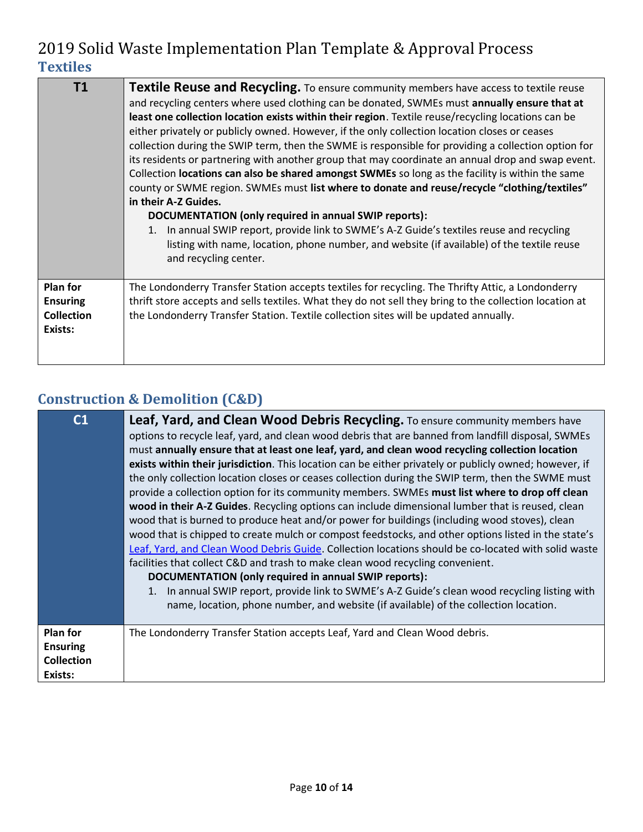| T1                                                                 | <b>Textile Reuse and Recycling.</b> To ensure community members have access to textile reuse<br>and recycling centers where used clothing can be donated, SWMEs must annually ensure that at<br>least one collection location exists within their region. Textile reuse/recycling locations can be<br>either privately or publicly owned. However, if the only collection location closes or ceases<br>collection during the SWIP term, then the SWME is responsible for providing a collection option for<br>its residents or partnering with another group that may coordinate an annual drop and swap event.<br>Collection locations can also be shared amongst SWMEs so long as the facility is within the same<br>county or SWME region. SWMEs must list where to donate and reuse/recycle "clothing/textiles"<br>in their A-Z Guides.<br>DOCUMENTATION (only required in annual SWIP reports):<br>In annual SWIP report, provide link to SWME's A-Z Guide's textiles reuse and recycling<br>1.<br>listing with name, location, phone number, and website (if available) of the textile reuse<br>and recycling center. |
|--------------------------------------------------------------------|-----------------------------------------------------------------------------------------------------------------------------------------------------------------------------------------------------------------------------------------------------------------------------------------------------------------------------------------------------------------------------------------------------------------------------------------------------------------------------------------------------------------------------------------------------------------------------------------------------------------------------------------------------------------------------------------------------------------------------------------------------------------------------------------------------------------------------------------------------------------------------------------------------------------------------------------------------------------------------------------------------------------------------------------------------------------------------------------------------------------------------|
| <b>Plan for</b><br><b>Ensuring</b><br><b>Collection</b><br>Exists: | The Londonderry Transfer Station accepts textiles for recycling. The Thrifty Attic, a Londonderry<br>thrift store accepts and sells textiles. What they do not sell they bring to the collection location at<br>the Londonderry Transfer Station. Textile collection sites will be updated annually.                                                                                                                                                                                                                                                                                                                                                                                                                                                                                                                                                                                                                                                                                                                                                                                                                        |

## **Construction & Demolition (C&D)**

| C <sub>1</sub>                                                     | Leaf, Yard, and Clean Wood Debris Recycling. To ensure community members have<br>options to recycle leaf, yard, and clean wood debris that are banned from landfill disposal, SWMEs<br>must annually ensure that at least one leaf, yard, and clean wood recycling collection location<br>exists within their jurisdiction. This location can be either privately or publicly owned; however, if<br>the only collection location closes or ceases collection during the SWIP term, then the SWME must<br>provide a collection option for its community members. SWMEs must list where to drop off clean<br>wood in their A-Z Guides. Recycling options can include dimensional lumber that is reused, clean<br>wood that is burned to produce heat and/or power for buildings (including wood stoves), clean<br>wood that is chipped to create mulch or compost feedstocks, and other options listed in the state's<br>Leaf, Yard, and Clean Wood Debris Guide. Collection locations should be co-located with solid waste<br>facilities that collect C&D and trash to make clean wood recycling convenient.<br>DOCUMENTATION (only required in annual SWIP reports):<br>In annual SWIP report, provide link to SWME's A-Z Guide's clean wood recycling listing with<br>1.<br>name, location, phone number, and website (if available) of the collection location. |
|--------------------------------------------------------------------|--------------------------------------------------------------------------------------------------------------------------------------------------------------------------------------------------------------------------------------------------------------------------------------------------------------------------------------------------------------------------------------------------------------------------------------------------------------------------------------------------------------------------------------------------------------------------------------------------------------------------------------------------------------------------------------------------------------------------------------------------------------------------------------------------------------------------------------------------------------------------------------------------------------------------------------------------------------------------------------------------------------------------------------------------------------------------------------------------------------------------------------------------------------------------------------------------------------------------------------------------------------------------------------------------------------------------------------------------------------------|
| <b>Plan for</b><br><b>Ensuring</b><br><b>Collection</b><br>Exists: | The Londonderry Transfer Station accepts Leaf, Yard and Clean Wood debris.                                                                                                                                                                                                                                                                                                                                                                                                                                                                                                                                                                                                                                                                                                                                                                                                                                                                                                                                                                                                                                                                                                                                                                                                                                                                                         |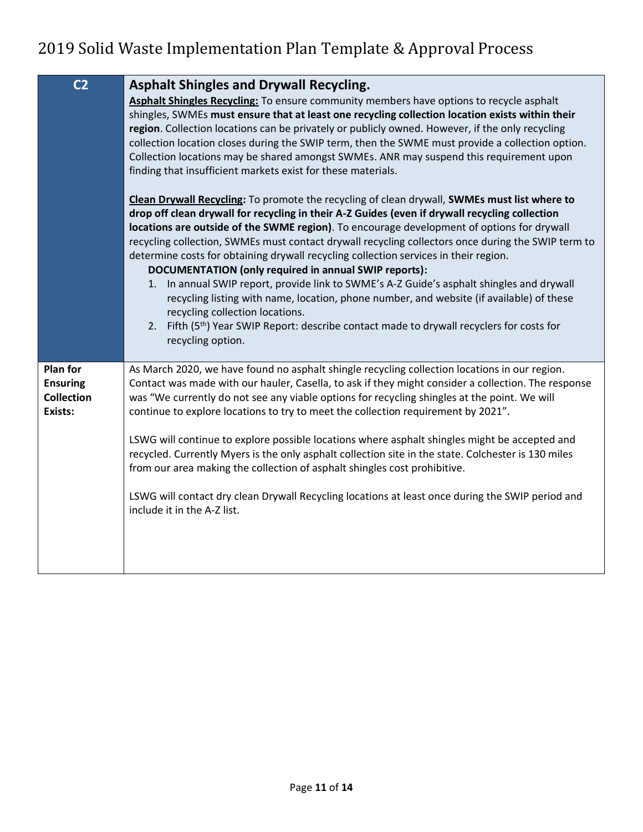| C <sub>2</sub>                                                     | <b>Asphalt Shingles and Drywall Recycling.</b><br>Asphalt Shingles Recycling: To ensure community members have options to recycle asphalt<br>shingles, SWMEs must ensure that at least one recycling collection location exists within their<br>region. Collection locations can be privately or publicly owned. However, if the only recycling<br>collection location closes during the SWIP term, then the SWME must provide a collection option.<br>Collection locations may be shared amongst SWMEs. ANR may suspend this requirement upon<br>finding that insufficient markets exist for these materials.                                                                                                                                                                                                                                                                                                 |
|--------------------------------------------------------------------|----------------------------------------------------------------------------------------------------------------------------------------------------------------------------------------------------------------------------------------------------------------------------------------------------------------------------------------------------------------------------------------------------------------------------------------------------------------------------------------------------------------------------------------------------------------------------------------------------------------------------------------------------------------------------------------------------------------------------------------------------------------------------------------------------------------------------------------------------------------------------------------------------------------|
|                                                                    | Clean Drywall Recycling: To promote the recycling of clean drywall, SWMEs must list where to<br>drop off clean drywall for recycling in their A-Z Guides (even if drywall recycling collection<br>locations are outside of the SWME region). To encourage development of options for drywall<br>recycling collection, SWMEs must contact drywall recycling collectors once during the SWIP term to<br>determine costs for obtaining drywall recycling collection services in their region.<br>DOCUMENTATION (only required in annual SWIP reports):<br>1. In annual SWIP report, provide link to SWME's A-Z Guide's asphalt shingles and drywall<br>recycling listing with name, location, phone number, and website (if available) of these<br>recycling collection locations.<br>2. Fifth (5 <sup>th</sup> ) Year SWIP Report: describe contact made to drywall recyclers for costs for<br>recycling option. |
| <b>Plan for</b><br><b>Ensuring</b><br><b>Collection</b><br>Exists: | As March 2020, we have found no asphalt shingle recycling collection locations in our region.<br>Contact was made with our hauler, Casella, to ask if they might consider a collection. The response<br>was "We currently do not see any viable options for recycling shingles at the point. We will<br>continue to explore locations to try to meet the collection requirement by 2021".<br>LSWG will continue to explore possible locations where asphalt shingles might be accepted and<br>recycled. Currently Myers is the only asphalt collection site in the state. Colchester is 130 miles<br>from our area making the collection of asphalt shingles cost prohibitive.<br>LSWG will contact dry clean Drywall Recycling locations at least once during the SWIP period and<br>include it in the A-Z list.                                                                                              |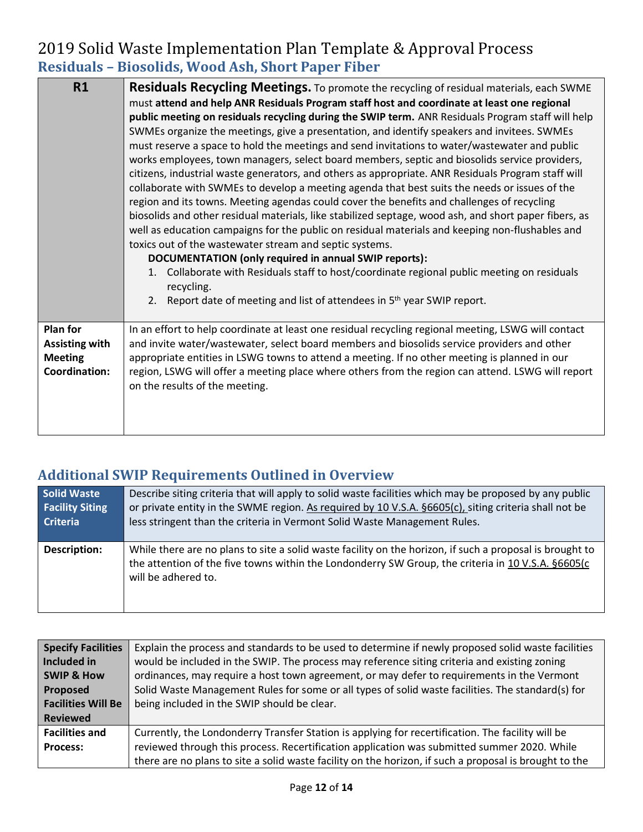### 2019 Solid Waste Implementation Plan Template & Approval Process **Residuals – Biosolids, Wood Ash, Short Paper Fiber**

| R1                                                                          | <b>Residuals Recycling Meetings.</b> To promote the recycling of residual materials, each SWME<br>must attend and help ANR Residuals Program staff host and coordinate at least one regional<br>public meeting on residuals recycling during the SWIP term. ANR Residuals Program staff will help<br>SWMEs organize the meetings, give a presentation, and identify speakers and invitees. SWMEs<br>must reserve a space to hold the meetings and send invitations to water/wastewater and public<br>works employees, town managers, select board members, septic and biosolids service providers,<br>citizens, industrial waste generators, and others as appropriate. ANR Residuals Program staff will<br>collaborate with SWMEs to develop a meeting agenda that best suits the needs or issues of the<br>region and its towns. Meeting agendas could cover the benefits and challenges of recycling<br>biosolids and other residual materials, like stabilized septage, wood ash, and short paper fibers, as<br>well as education campaigns for the public on residual materials and keeping non-flushables and<br>toxics out of the wastewater stream and septic systems.<br>DOCUMENTATION (only required in annual SWIP reports):<br>Collaborate with Residuals staff to host/coordinate regional public meeting on residuals<br>recycling.<br>Report date of meeting and list of attendees in 5 <sup>th</sup> year SWIP report.<br>2. |
|-----------------------------------------------------------------------------|----------------------------------------------------------------------------------------------------------------------------------------------------------------------------------------------------------------------------------------------------------------------------------------------------------------------------------------------------------------------------------------------------------------------------------------------------------------------------------------------------------------------------------------------------------------------------------------------------------------------------------------------------------------------------------------------------------------------------------------------------------------------------------------------------------------------------------------------------------------------------------------------------------------------------------------------------------------------------------------------------------------------------------------------------------------------------------------------------------------------------------------------------------------------------------------------------------------------------------------------------------------------------------------------------------------------------------------------------------------------------------------------------------------------------------------------|
| Plan for<br><b>Assisting with</b><br><b>Meeting</b><br><b>Coordination:</b> | In an effort to help coordinate at least one residual recycling regional meeting, LSWG will contact<br>and invite water/wastewater, select board members and biosolids service providers and other<br>appropriate entities in LSWG towns to attend a meeting. If no other meeting is planned in our<br>region, LSWG will offer a meeting place where others from the region can attend. LSWG will report<br>on the results of the meeting.                                                                                                                                                                                                                                                                                                                                                                                                                                                                                                                                                                                                                                                                                                                                                                                                                                                                                                                                                                                                   |

### **Additional SWIP Requirements Outlined in Overview**

| <b>Solid Waste</b>     | Describe siting criteria that will apply to solid waste facilities which may be proposed by any public                                                                                                                                |
|------------------------|---------------------------------------------------------------------------------------------------------------------------------------------------------------------------------------------------------------------------------------|
| <b>Facility Siting</b> | or private entity in the SWME region. As required by 10 V.S.A. §6605(c), siting criteria shall not be                                                                                                                                 |
| <b>Criteria</b>        | less stringent than the criteria in Vermont Solid Waste Management Rules.                                                                                                                                                             |
| <b>Description:</b>    | While there are no plans to site a solid waste facility on the horizon, if such a proposal is brought to<br>the attention of the five towns within the Londonderry SW Group, the criteria in 10 V.S.A. §6605(c<br>will be adhered to. |

| <b>Specify Facilities</b> | Explain the process and standards to be used to determine if newly proposed solid waste facilities     |
|---------------------------|--------------------------------------------------------------------------------------------------------|
| Included in               | would be included in the SWIP. The process may reference siting criteria and existing zoning           |
| <b>SWIP &amp; How</b>     | ordinances, may require a host town agreement, or may defer to requirements in the Vermont             |
| Proposed                  | Solid Waste Management Rules for some or all types of solid waste facilities. The standard(s) for      |
| <b>Facilities Will Be</b> | being included in the SWIP should be clear.                                                            |
| <b>Reviewed</b>           |                                                                                                        |
| <b>Facilities and</b>     | Currently, the Londonderry Transfer Station is applying for recertification. The facility will be      |
| <b>Process:</b>           | reviewed through this process. Recertification application was submitted summer 2020. While            |
|                           | there are no plans to site a solid waste facility on the horizon, if such a proposal is brought to the |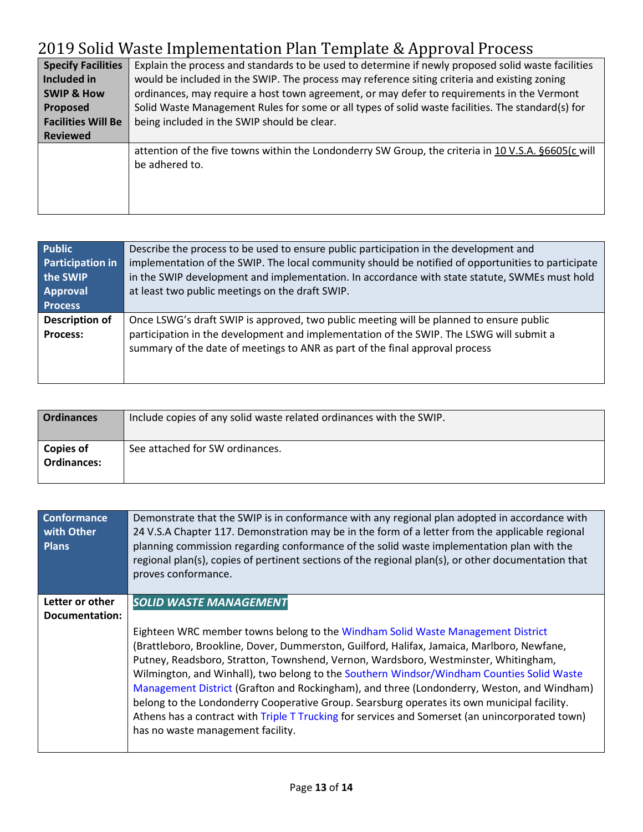| <b>Specify Facilities</b> | Explain the process and standards to be used to determine if newly proposed solid waste facilities  |
|---------------------------|-----------------------------------------------------------------------------------------------------|
| Included in               | would be included in the SWIP. The process may reference siting criteria and existing zoning        |
| <b>SWIP &amp; How</b>     | ordinances, may require a host town agreement, or may defer to requirements in the Vermont          |
| <b>Proposed</b>           | Solid Waste Management Rules for some or all types of solid waste facilities. The standard(s) for   |
| <b>Facilities Will Be</b> | being included in the SWIP should be clear.                                                         |
| <b>Reviewed</b>           |                                                                                                     |
|                           | attention of the five towns within the Londonderry SW Group, the criteria in 10 V.S.A. §6605(c will |
|                           | be adhered to.                                                                                      |
|                           |                                                                                                     |
|                           |                                                                                                     |
|                           |                                                                                                     |

| <b>Public</b><br><b>Participation in</b><br>the SWIP<br>Approval<br><b>Process</b> | Describe the process to be used to ensure public participation in the development and<br>implementation of the SWIP. The local community should be notified of opportunities to participate<br>in the SWIP development and implementation. In accordance with state statute, SWMEs must hold<br>at least two public meetings on the draft SWIP. |
|------------------------------------------------------------------------------------|-------------------------------------------------------------------------------------------------------------------------------------------------------------------------------------------------------------------------------------------------------------------------------------------------------------------------------------------------|
| <b>Description of</b><br><b>Process:</b>                                           | Once LSWG's draft SWIP is approved, two public meeting will be planned to ensure public<br>participation in the development and implementation of the SWIP. The LSWG will submit a<br>summary of the date of meetings to ANR as part of the final approval process                                                                              |

| <b>Ordinances</b>               | Include copies of any solid waste related ordinances with the SWIP. |
|---------------------------------|---------------------------------------------------------------------|
| Copies of<br><b>Ordinances:</b> | See attached for SW ordinances.                                     |

| <b>Conformance</b><br>with Other<br><b>Plans</b> | Demonstrate that the SWIP is in conformance with any regional plan adopted in accordance with<br>24 V.S.A Chapter 117. Demonstration may be in the form of a letter from the applicable regional<br>planning commission regarding conformance of the solid waste implementation plan with the<br>regional plan(s), copies of pertinent sections of the regional plan(s), or other documentation that<br>proves conformance.                                                                                                                                                                                                                                                                                                             |
|--------------------------------------------------|-----------------------------------------------------------------------------------------------------------------------------------------------------------------------------------------------------------------------------------------------------------------------------------------------------------------------------------------------------------------------------------------------------------------------------------------------------------------------------------------------------------------------------------------------------------------------------------------------------------------------------------------------------------------------------------------------------------------------------------------|
| Letter or other<br>Documentation:                | <b>SOLID WASTE MANAGEMENT</b><br>Eighteen WRC member towns belong to the Windham Solid Waste Management District<br>(Brattleboro, Brookline, Dover, Dummerston, Guilford, Halifax, Jamaica, Marlboro, Newfane,<br>Putney, Readsboro, Stratton, Townshend, Vernon, Wardsboro, Westminster, Whitingham,<br>Wilmington, and Winhall), two belong to the Southern Windsor/Windham Counties Solid Waste<br>Management District (Grafton and Rockingham), and three (Londonderry, Weston, and Windham)<br>belong to the Londonderry Cooperative Group. Searsburg operates its own municipal facility.<br>Athens has a contract with Triple T Trucking for services and Somerset (an unincorporated town)<br>has no waste management facility. |